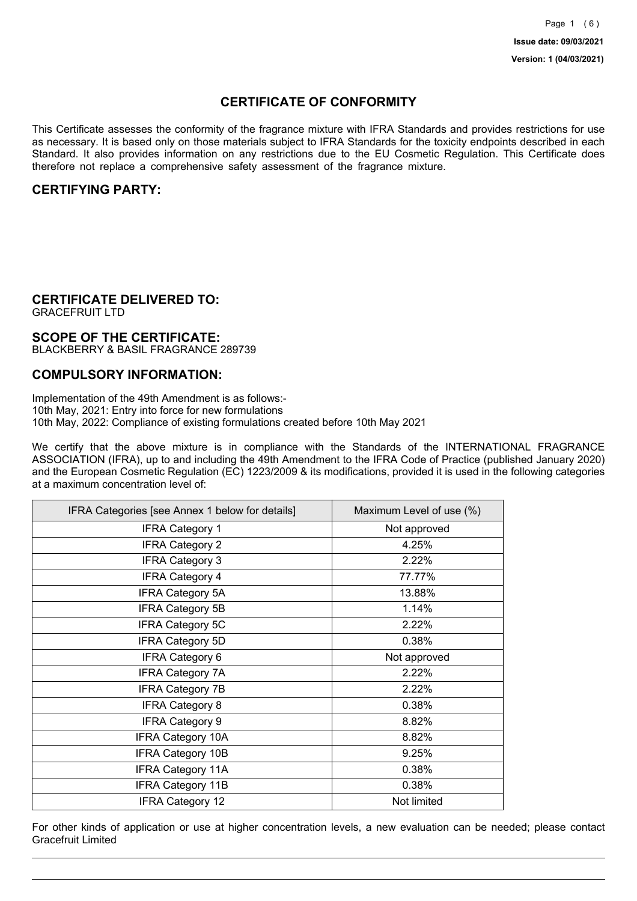## **CERTIFICATE OF CONFORMITY**

This Certificate assesses the conformity of the fragrance mixture with IFRA Standards and provides restrictions for use as necessary. It is based only on those materials subject to IFRA Standards for the toxicity endpoints described in each Standard. It also provides information on any restrictions due to the EU Cosmetic Regulation. This Certificate does therefore not replace a comprehensive safety assessment of the fragrance mixture.

## **CERTIFYING PARTY:**

## **CERTIFICATE DELIVERED TO:**

GRACEFRUIT LTD

### **SCOPE OF THE CERTIFICATE:**

BLACKBERRY & BASIL FRAGRANCE 289739

### **COMPULSORY INFORMATION:**

Implementation of the 49th Amendment is as follows:- 10th May, 2021: Entry into force for new formulations 10th May, 2022: Compliance of existing formulations created before 10th May 2021

We certify that the above mixture is in compliance with the Standards of the INTERNATIONAL FRAGRANCE ASSOCIATION (IFRA), up to and including the 49th Amendment to the IFRA Code of Practice (published January 2020) and the European Cosmetic Regulation (EC) 1223/2009 & its modifications, provided it is used in the following categories at a maximum concentration level of:

| IFRA Categories [see Annex 1 below for details] | Maximum Level of use (%) |
|-------------------------------------------------|--------------------------|
| <b>IFRA Category 1</b>                          | Not approved             |
| <b>IFRA Category 2</b>                          | 4.25%                    |
| <b>IFRA Category 3</b>                          | 2.22%                    |
| <b>IFRA Category 4</b>                          | 77.77%                   |
| <b>IFRA Category 5A</b>                         | 13.88%                   |
| <b>IFRA Category 5B</b>                         | 1.14%                    |
| <b>IFRA Category 5C</b>                         | 2.22%                    |
| <b>IFRA Category 5D</b>                         | 0.38%                    |
| <b>IFRA Category 6</b>                          | Not approved             |
| <b>IFRA Category 7A</b>                         | 2.22%                    |
| <b>IFRA Category 7B</b>                         | 2.22%                    |
| <b>IFRA Category 8</b>                          | 0.38%                    |
| <b>IFRA Category 9</b>                          | 8.82%                    |
| <b>IFRA Category 10A</b>                        | 8.82%                    |
| <b>IFRA Category 10B</b>                        | 9.25%                    |
| <b>IFRA Category 11A</b>                        | 0.38%                    |
| <b>IFRA Category 11B</b>                        | 0.38%                    |
| <b>IFRA Category 12</b>                         | Not limited              |

For other kinds of application or use at higher concentration levels, a new evaluation can be needed; please contact Gracefruit Limited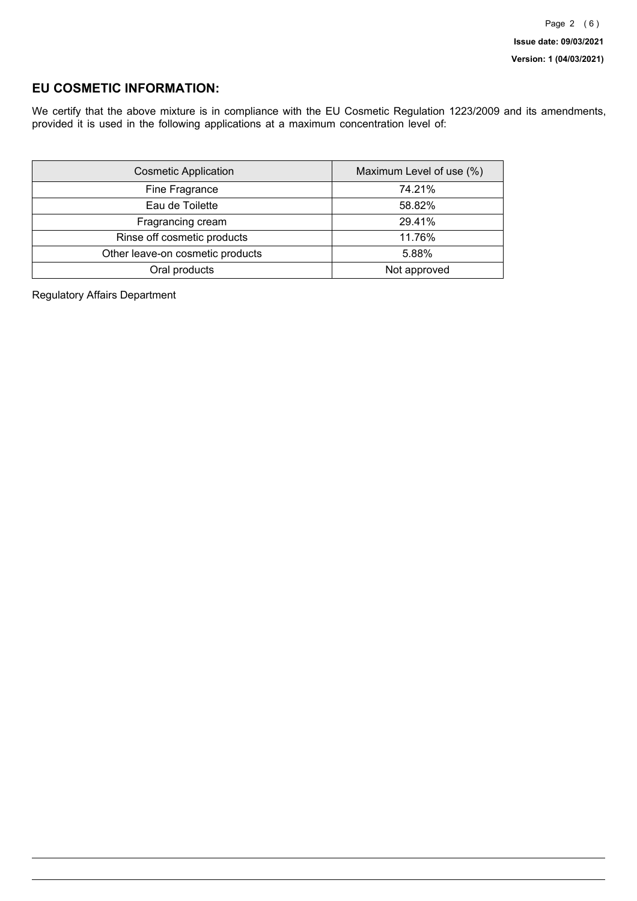## **EU COSMETIC INFORMATION:**

We certify that the above mixture is in compliance with the EU Cosmetic Regulation 1223/2009 and its amendments, provided it is used in the following applications at a maximum concentration level of:

| <b>Cosmetic Application</b>      | Maximum Level of use (%) |
|----------------------------------|--------------------------|
| Fine Fragrance                   | 74.21%                   |
| Eau de Toilette                  | 58.82%                   |
| Fragrancing cream                | 29.41%                   |
| Rinse off cosmetic products      | 11.76%                   |
| Other leave-on cosmetic products | 5.88%                    |
| Oral products                    | Not approved             |

Regulatory Affairs Department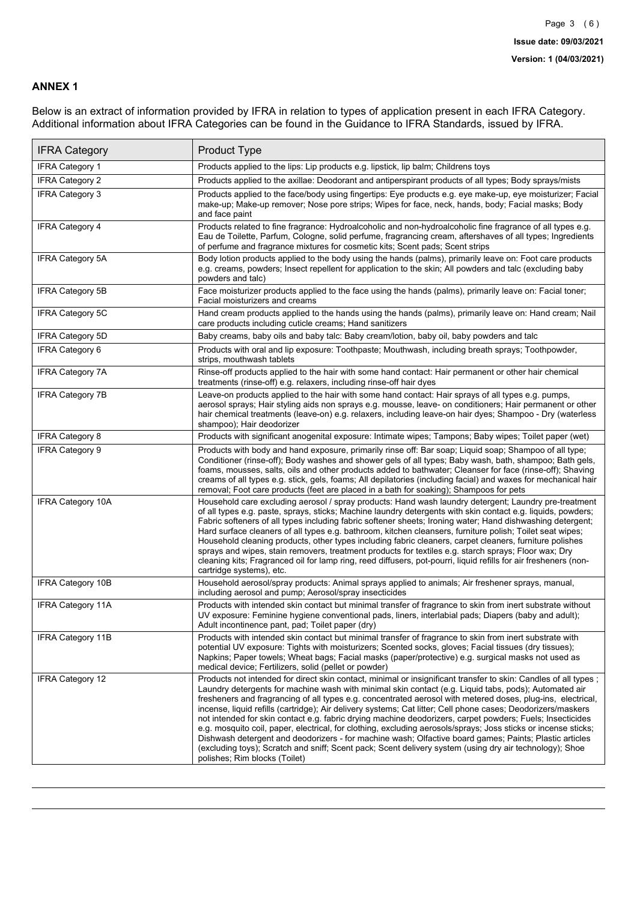### **ANNEX 1**

Below is an extract of information provided by IFRA in relation to types of application present in each IFRA Category. Additional information about IFRA Categories can be found in the Guidance to IFRA Standards, issued by IFRA.

| <b>IFRA Category</b>     | Product Type                                                                                                                                                                                                                                                                                                                                                                                                                                                                                                                                                                                                                                                                                                                                                                                                                                                                                                                                 |
|--------------------------|----------------------------------------------------------------------------------------------------------------------------------------------------------------------------------------------------------------------------------------------------------------------------------------------------------------------------------------------------------------------------------------------------------------------------------------------------------------------------------------------------------------------------------------------------------------------------------------------------------------------------------------------------------------------------------------------------------------------------------------------------------------------------------------------------------------------------------------------------------------------------------------------------------------------------------------------|
| IFRA Category 1          | Products applied to the lips: Lip products e.g. lipstick, lip balm; Childrens toys                                                                                                                                                                                                                                                                                                                                                                                                                                                                                                                                                                                                                                                                                                                                                                                                                                                           |
| <b>IFRA Category 2</b>   | Products applied to the axillae: Deodorant and antiperspirant products of all types; Body sprays/mists                                                                                                                                                                                                                                                                                                                                                                                                                                                                                                                                                                                                                                                                                                                                                                                                                                       |
| <b>IFRA Category 3</b>   | Products applied to the face/body using fingertips: Eye products e.g. eye make-up, eye moisturizer; Facial<br>make-up; Make-up remover; Nose pore strips; Wipes for face, neck, hands, body; Facial masks; Body<br>and face paint                                                                                                                                                                                                                                                                                                                                                                                                                                                                                                                                                                                                                                                                                                            |
| <b>IFRA Category 4</b>   | Products related to fine fragrance: Hydroalcoholic and non-hydroalcoholic fine fragrance of all types e.g.<br>Eau de Toilette, Parfum, Cologne, solid perfume, fragrancing cream, aftershaves of all types; Ingredients<br>of perfume and fragrance mixtures for cosmetic kits; Scent pads; Scent strips                                                                                                                                                                                                                                                                                                                                                                                                                                                                                                                                                                                                                                     |
| <b>IFRA Category 5A</b>  | Body lotion products applied to the body using the hands (palms), primarily leave on: Foot care products<br>e.g. creams, powders; Insect repellent for application to the skin; All powders and talc (excluding baby<br>powders and talc)                                                                                                                                                                                                                                                                                                                                                                                                                                                                                                                                                                                                                                                                                                    |
| IFRA Category 5B         | Face moisturizer products applied to the face using the hands (palms), primarily leave on: Facial toner;<br>Facial moisturizers and creams                                                                                                                                                                                                                                                                                                                                                                                                                                                                                                                                                                                                                                                                                                                                                                                                   |
| <b>IFRA Category 5C</b>  | Hand cream products applied to the hands using the hands (palms), primarily leave on: Hand cream; Nail<br>care products including cuticle creams; Hand sanitizers                                                                                                                                                                                                                                                                                                                                                                                                                                                                                                                                                                                                                                                                                                                                                                            |
| <b>IFRA Category 5D</b>  | Baby creams, baby oils and baby talc: Baby cream/lotion, baby oil, baby powders and talc                                                                                                                                                                                                                                                                                                                                                                                                                                                                                                                                                                                                                                                                                                                                                                                                                                                     |
| IFRA Category 6          | Products with oral and lip exposure: Toothpaste; Mouthwash, including breath sprays; Toothpowder,<br>strips, mouthwash tablets                                                                                                                                                                                                                                                                                                                                                                                                                                                                                                                                                                                                                                                                                                                                                                                                               |
| <b>IFRA Category 7A</b>  | Rinse-off products applied to the hair with some hand contact: Hair permanent or other hair chemical<br>treatments (rinse-off) e.g. relaxers, including rinse-off hair dyes                                                                                                                                                                                                                                                                                                                                                                                                                                                                                                                                                                                                                                                                                                                                                                  |
| <b>IFRA Category 7B</b>  | Leave-on products applied to the hair with some hand contact: Hair sprays of all types e.g. pumps,<br>aerosol sprays; Hair styling aids non sprays e.g. mousse, leave- on conditioners; Hair permanent or other<br>hair chemical treatments (leave-on) e.g. relaxers, including leave-on hair dyes; Shampoo - Dry (waterless<br>shampoo); Hair deodorizer                                                                                                                                                                                                                                                                                                                                                                                                                                                                                                                                                                                    |
| <b>IFRA Category 8</b>   | Products with significant anogenital exposure: Intimate wipes; Tampons; Baby wipes; Toilet paper (wet)                                                                                                                                                                                                                                                                                                                                                                                                                                                                                                                                                                                                                                                                                                                                                                                                                                       |
| IFRA Category 9          | Products with body and hand exposure, primarily rinse off: Bar soap; Liquid soap; Shampoo of all type;<br>Conditioner (rinse-off); Body washes and shower gels of all types; Baby wash, bath, shampoo; Bath gels,<br>foams, mousses, salts, oils and other products added to bathwater; Cleanser for face (rinse-off); Shaving<br>creams of all types e.g. stick, gels, foams; All depilatories (including facial) and waxes for mechanical hair<br>removal; Foot care products (feet are placed in a bath for soaking); Shampoos for pets                                                                                                                                                                                                                                                                                                                                                                                                   |
| <b>IFRA Category 10A</b> | Household care excluding aerosol / spray products: Hand wash laundry detergent; Laundry pre-treatment<br>of all types e.g. paste, sprays, sticks; Machine laundry detergents with skin contact e.g. liquids, powders;<br>Fabric softeners of all types including fabric softener sheets; Ironing water; Hand dishwashing detergent;<br>Hard surface cleaners of all types e.g. bathroom, kitchen cleansers, furniture polish; Toilet seat wipes;<br>Household cleaning products, other types including fabric cleaners, carpet cleaners, furniture polishes<br>sprays and wipes, stain removers, treatment products for textiles e.g. starch sprays; Floor wax; Dry<br>cleaning kits; Fragranced oil for lamp ring, reed diffusers, pot-pourri, liquid refills for air fresheners (non-<br>cartridge systems), etc.                                                                                                                          |
| <b>IFRA Category 10B</b> | Household aerosol/spray products: Animal sprays applied to animals; Air freshener sprays, manual,<br>including aerosol and pump; Aerosol/spray insecticides                                                                                                                                                                                                                                                                                                                                                                                                                                                                                                                                                                                                                                                                                                                                                                                  |
| <b>IFRA Category 11A</b> | Products with intended skin contact but minimal transfer of fragrance to skin from inert substrate without<br>UV exposure: Feminine hygiene conventional pads, liners, interlabial pads; Diapers (baby and adult);<br>Adult incontinence pant, pad; Toilet paper (dry)                                                                                                                                                                                                                                                                                                                                                                                                                                                                                                                                                                                                                                                                       |
| <b>IFRA Category 11B</b> | Products with intended skin contact but minimal transfer of fragrance to skin from inert substrate with<br>potential UV exposure: Tights with moisturizers; Scented socks, gloves; Facial tissues (dry tissues);<br>Napkins; Paper towels; Wheat bags; Facial masks (paper/protective) e.g. surgical masks not used as<br>medical device; Fertilizers, solid (pellet or powder)                                                                                                                                                                                                                                                                                                                                                                                                                                                                                                                                                              |
| <b>IFRA Category 12</b>  | Products not intended for direct skin contact, minimal or insignificant transfer to skin: Candles of all types;<br>Laundry detergents for machine wash with minimal skin contact (e.g. Liquid tabs, pods); Automated air<br>fresheners and fragrancing of all types e.g. concentrated aerosol with metered doses, plug-ins, electrical,<br>incense, liquid refills (cartridge); Air delivery systems; Cat litter; Cell phone cases; Deodorizers/maskers<br>not intended for skin contact e.g. fabric drying machine deodorizers, carpet powders; Fuels; Insecticides<br>e.g. mosquito coil, paper, electrical, for clothing, excluding aerosols/sprays; Joss sticks or incense sticks;<br>Dishwash detergent and deodorizers - for machine wash; Olfactive board games; Paints; Plastic articles<br>(excluding toys); Scratch and sniff; Scent pack; Scent delivery system (using dry air technology); Shoe<br>polishes; Rim blocks (Toilet) |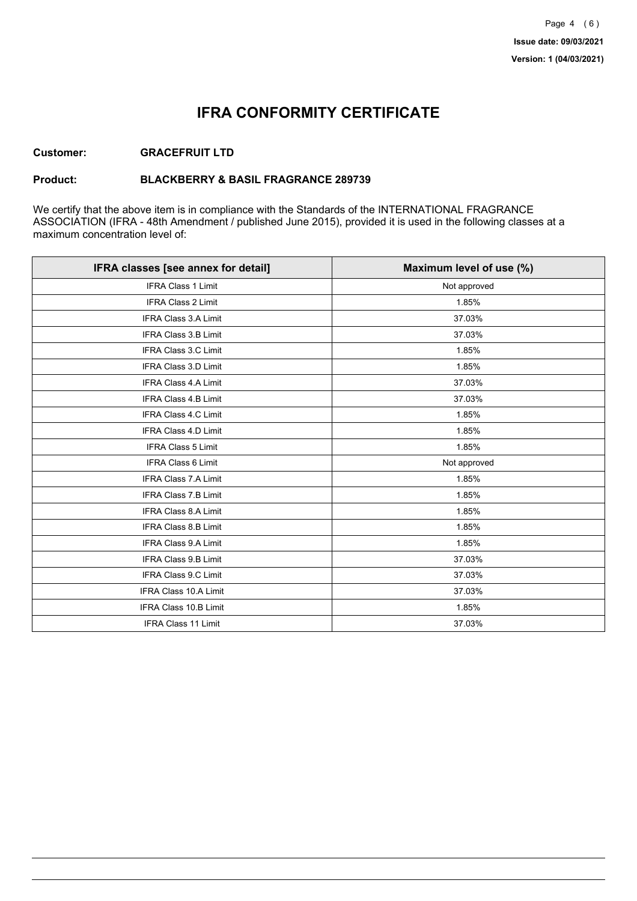## **IFRA CONFORMITY CERTIFICATE**

### **Customer: GRACEFRUIT LTD**

### **Product: BLACKBERRY & BASIL FRAGRANCE 289739**

We certify that the above item is in compliance with the Standards of the INTERNATIONAL FRAGRANCE ASSOCIATION (IFRA - 48th Amendment / published June 2015), provided it is used in the following classes at a maximum concentration level of:

| IFRA classes [see annex for detail] | Maximum level of use (%) |
|-------------------------------------|--------------------------|
| <b>IFRA Class 1 Limit</b>           | Not approved             |
| IFRA Class 2 Limit                  | 1.85%                    |
| <b>IFRA Class 3.A Limit</b>         | 37.03%                   |
| IFRA Class 3.B Limit                | 37.03%                   |
| IFRA Class 3.C Limit                | 1.85%                    |
| IFRA Class 3.D Limit                | 1.85%                    |
| <b>IFRA Class 4.A Limit</b>         | 37.03%                   |
| <b>IFRA Class 4.B Limit</b>         | 37.03%                   |
| IFRA Class 4.C Limit                | 1.85%                    |
| <b>IFRA Class 4.D Limit</b>         | 1.85%                    |
| IFRA Class 5 Limit                  | 1.85%                    |
| <b>IFRA Class 6 Limit</b>           | Not approved             |
| <b>IFRA Class 7.A Limit</b>         | 1.85%                    |
| <b>IFRA Class 7.B Limit</b>         | 1.85%                    |
| IFRA Class 8.A Limit                | 1.85%                    |
| IFRA Class 8.B Limit                | 1.85%                    |
| <b>IFRA Class 9.A Limit</b>         | 1.85%                    |
| IFRA Class 9.B Limit                | 37.03%                   |
| IFRA Class 9.C Limit                | 37.03%                   |
| IFRA Class 10.A Limit               | 37.03%                   |
| IFRA Class 10.B Limit               | 1.85%                    |
| <b>IFRA Class 11 Limit</b>          | 37.03%                   |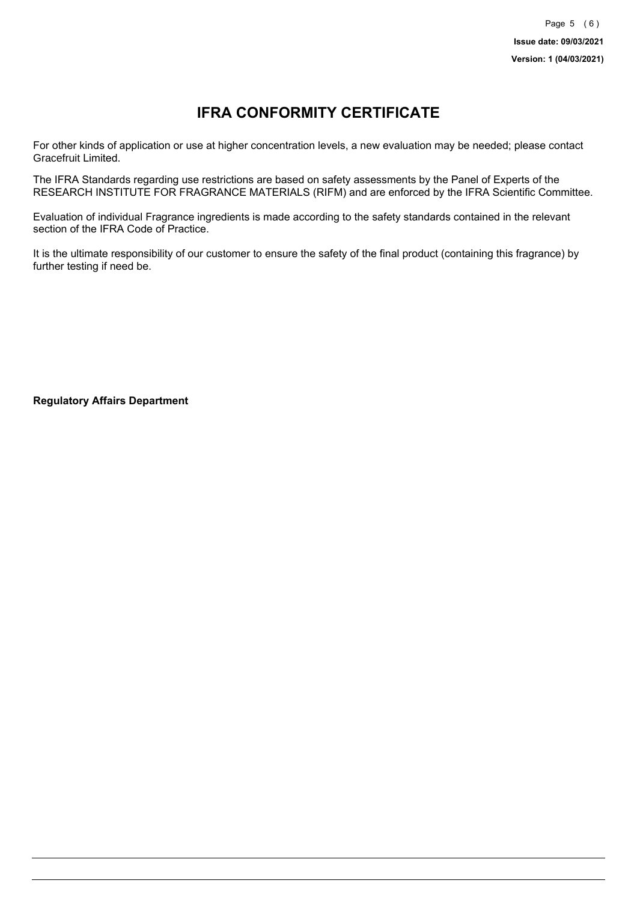# **IFRA CONFORMITY CERTIFICATE**

For other kinds of application or use at higher concentration levels, a new evaluation may be needed; please contact Gracefruit Limited.

The IFRA Standards regarding use restrictions are based on safety assessments by the Panel of Experts of the RESEARCH INSTITUTE FOR FRAGRANCE MATERIALS (RIFM) and are enforced by the IFRA Scientific Committee.

Evaluation of individual Fragrance ingredients is made according to the safety standards contained in the relevant section of the IFRA Code of Practice.

It is the ultimate responsibility of our customer to ensure the safety of the final product (containing this fragrance) by further testing if need be.

**Regulatory Affairs Department**